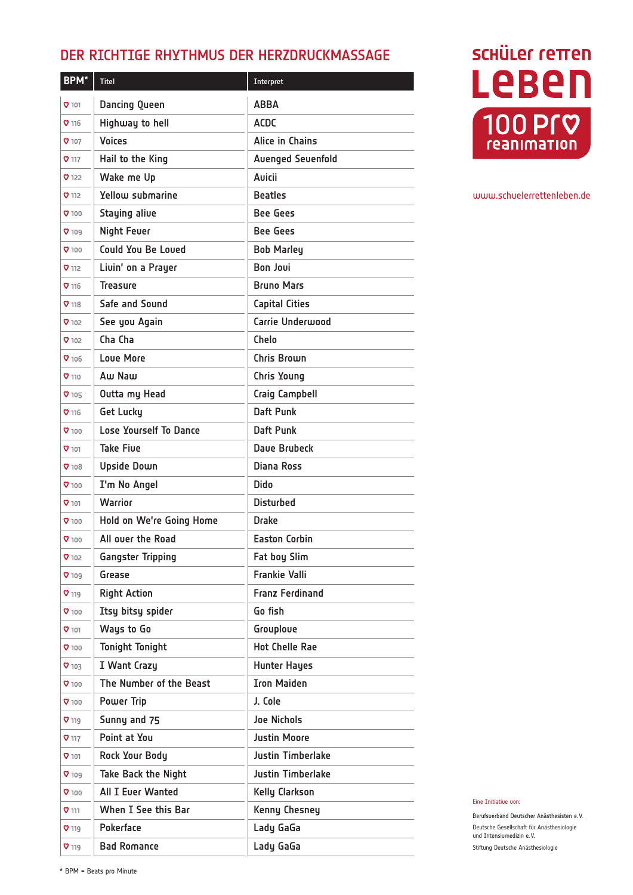## DER RICHTIGE RHYTHMUS DER HERZDRUCKMASSAGE

| <b>BPM*</b>  | <b>Titel</b>                  | Interpret                |
|--------------|-------------------------------|--------------------------|
| 0101         | <b>Dancing Queen</b>          | ABBA                     |
| 0.116        | Highway to hell               | <b>ACDC</b>              |
| 0.107        | <b>Voices</b>                 | Alice in Chains          |
| $\sigma$ 117 | Hail to the King              | <b>Avenged Sevenfold</b> |
| 7122         | Wake me Up                    | <b>Auicii</b>            |
| 0.112        | Yellow submarine              | <b>Beatles</b>           |
| 0.100        | <b>Staying alive</b>          | <b>Bee Gees</b>          |
| 0109         | <b>Night Feuer</b>            | <b>Bee Gees</b>          |
| 0100         | <b>Could You Be Loved</b>     | <b>Bob Marley</b>        |
| $\sigma$ 112 | Livin' on a Prayer            | <b>Bon Joui</b>          |
| 9116         | <b>Treasure</b>               | <b>Bruno Mars</b>        |
| 718          | Safe and Sound                | <b>Capital Cities</b>    |
| $Q$ 102      | See you Again                 | <b>Carrie Underwood</b>  |
| $Q$ 102      | Cha Cha                       | Chelo                    |
| 0.106        | Loue More                     | Chris Brown              |
| 0.110        | Aw Naw                        | <b>Chris Young</b>       |
| 0.105        | Outta my Head                 | <b>Craig Campbell</b>    |
| 8116         | <b>Get Lucky</b>              | Daft Punk                |
| $\sigma$ 100 | <b>Lose Yourself To Dance</b> | Daft Punk                |
| 0.101        | <b>Take Five</b>              | Dave Brubeck             |
| $Q_{108}$    | <b>Upside Down</b>            | Diana Ross               |
| $\sigma$ 100 | I'm No Angel                  | Dido                     |
| 0.101        | Warrior                       | <b>Disturbed</b>         |
| $\sigma$ 100 | Hold on We're Going Home      | Drake                    |
| $\sigma$ 100 | All over the Road             | <b>Easton Corbin</b>     |
| <b>V</b> 102 | <b>Gangster Tripping</b>      | <b>Fat boy Slim</b>      |
| $Q$ 109      | Grease                        | <b>Frankie Valli</b>     |
| <b>V</b> 119 | <b>Right Action</b>           | <b>Franz Ferdinand</b>   |
| 0.100        | Itsy bitsy spider             | Go fish                  |
| 0107         | Ways to Go                    | Grouploue                |
| 0.100        | <b>Tonight Tonight</b>        | <b>Hot Chelle Rae</b>    |
| $\nabla$ 103 | I Want Crazy                  | <b>Hunter Hayes</b>      |
| 0.100        | The Number of the Beast       | <b>Iron Maiden</b>       |
| 0.100        | <b>Power Trip</b>             | J. Cole                  |
| $Q$ 119      | Sunny and 75                  | <b>Joe Nichols</b>       |
| $Q$ 117      | Point at You                  | <b>Justin Moore</b>      |
| 0.101        | <b>Rock Your Body</b>         | <b>Justin Timberlake</b> |
| $\sigma$ 109 | <b>Take Back the Night</b>    | <b>Justin Timberlake</b> |
| 0100         | <b>All I Ever Wanted</b>      | <b>Kelly Clarkson</b>    |
| $\sigma$ 111 | When I See this Bar           | Kenny Chesney            |
| $Q$ 119      | <b>Pokerface</b>              | Lady GaGa                |
| $Q_{119}$    | <b>Bad Romance</b>            | Lady GaGa                |

## **SCHÜLER FETTEN** Leben 100 Pr<sub>v</sub> reanimation

## www.schuelerrettenleben.de

Eine Initiative von:

Berufsverband Deutscher Anästhesisten e.V. Deutsche Gesellschaft für Anästhesiologie und Intensivmedizin e.V. Stiftung Deutsche Anästhesiologie